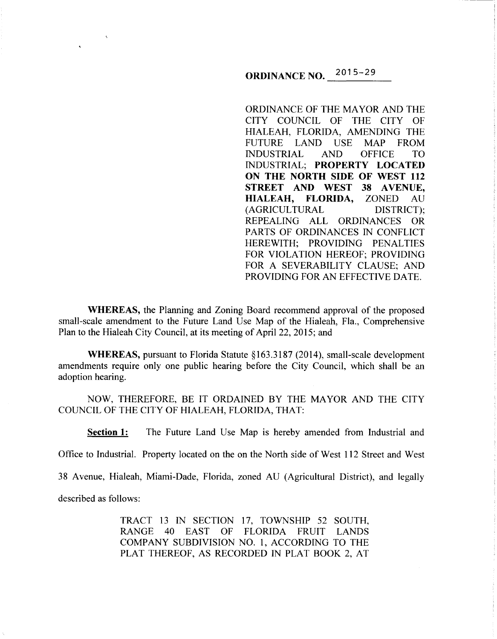# **ORDINANCE NO.** 2015-29

ORDINANCE OF THE MAYOR AND THE CITY COUNCIL OF THE CITY OF HIALEAH, FLORIDA, AMENDING THE FUTURE LAND USE MAP FROM INDUSTRIAL AND OFFICE TO INDUSTRIAL; **PROPERTY LOCATED ON THE NORTH SIDE OF WEST 112 STREET AND WEST 38 AVENUE, HIALEAH, FLORIDA,** ZONED AU (AGRICULTURAL DISTRICT); REPEALING ALL ORDINANCES OR PARTS OF ORDINANCES IN CONFLICT HEREWITH; PROVIDING PENALTIES FOR VIOLATION HEREOF; PROVIDING FOR A SEVERABILITY CLAUSE; AND PROVIDING FOR AN EFFECTIVE DATE.

**WHEREAS,** the Planning and Zoning Board recommend approval of the proposed small-scale amendment to the Future Land Use Map of the Hialeah, Fla., Comprehensive Plan to the Hialeah City Council, at its meeting of April22, 2015; and

**WHEREAS,** pursuant to Florida Statute § 163.3187 (2014), small-scale development amendments require only one public hearing before the City Council, which shall be an adoption hearing.

NOW, THEREFORE, BE IT ORDAINED BY THE MAYOR AND THE CITY COUNCIL OF THE CITY OF HIALEAH, FLORIDA, THAT:

**Section 1:** The Future Land Use Map is hereby amended from Industrial and

Office to Industrial. Property located on the on the North side of West 112 Street and West

38 Avenue, Hialeah, Miami-Dade, Florida, zoned AU (Agricultural District), and legally

described as follows:

TRACT 13 IN SECTION 17, TOWNSHIP 52 SOUTH, RANGE 40 EAST OF FLORIDA FRUIT LANDS COMPANY SUBDIVISION NO. I, ACCORDING TO THE PLAT THEREOF, AS RECORDED IN PLAT BOOK 2, AT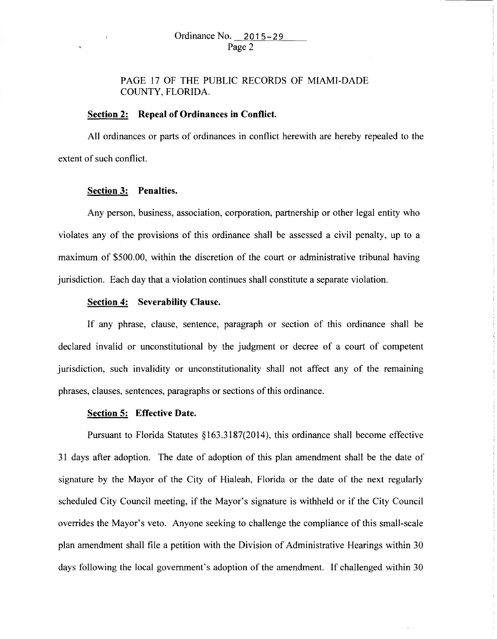# PAGE 17 OF THE PUBLIC RECORDS OF MIAMI-DADE COUNTY, FLORIDA.

## **Section 2: Repeal of Ordinances in Conflict.**

All ordinances or parts of ordinances in conflict herewith are hereby repealed to the extent of such conflict.

#### **Section 3: Penalties.**

Any person, business, association, corporation, partnership or other legal entity who violates any of the provisions of this ordinance shall be assessed a civil penalty, up to a maximum of \$500.00, within the discretion of the court or administrative tribunal having jurisdiction. Each day that a violation continues shall constitute a separate violation.

## **Section 4: Severability Clause.**

If any phrase, clause, sentence, paragraph or section of this ordinance shall be declared invalid or unconstitutional by the judgment or decree of a court of competent jurisdiction, such invalidity or unconstitutionality shall not affect any of the remaining phrases, clauses, sentences, paragraphs or sections of this ordinance.

#### **Section 5: Effective Date.**

Pursuant to Florida Statutes §163.3187(2014), this ordinance shall become effective 31 days after adoption. The date of adoption of this plan amendment shall be the date of signature by the Mayor of the City of Hialeah, Florida or the date of the next regularly scheduled City Council meeting, if the Mayor's signature is withheld or if the City Council overrides the Mayor's veto. Anyone seeking to challenge the compliance ofthis small-scale plan amendment shall file a petition with the Division of Administrative Hearings within 30 days following the local government's adoption of the amendment. If challenged within 30